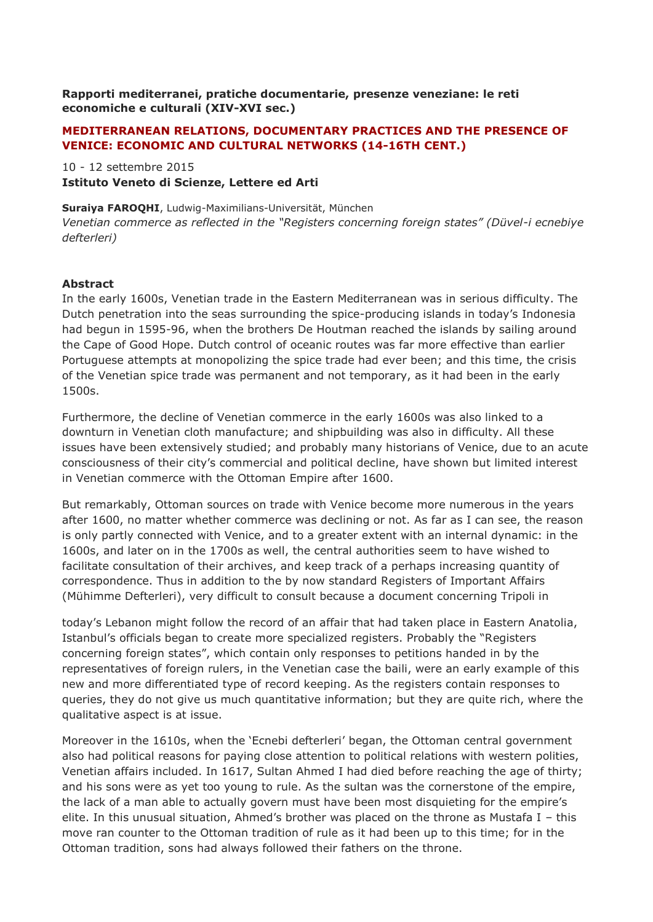## **Rapporti mediterranei, pratiche documentarie, presenze veneziane: le reti economiche e culturali (XIV-XVI sec.)**

## **MEDITERRANEAN RELATIONS, DOCUMENTARY PRACTICES AND THE PRESENCE OF VENICE: ECONOMIC AND CULTURAL NETWORKS (14-16TH CENT.)**

10 - 12 settembre 2015

**Istituto Veneto di Scienze, Lettere ed Arti**

**Suraiya FAROQHI**, Ludwig-Maximilians-Universität, München

*Venetian commerce as reflected in the "Registers concerning foreign states" (Düvel-i ecnebiye defterleri)*

## **Abstract**

In the early 1600s, Venetian trade in the Eastern Mediterranean was in serious difficulty. The Dutch penetration into the seas surrounding the spice-producing islands in today's Indonesia had begun in 1595-96, when the brothers De Houtman reached the islands by sailing around the Cape of Good Hope. Dutch control of oceanic routes was far more effective than earlier Portuguese attempts at monopolizing the spice trade had ever been; and this time, the crisis of the Venetian spice trade was permanent and not temporary, as it had been in the early 1500s.

Furthermore, the decline of Venetian commerce in the early 1600s was also linked to a downturn in Venetian cloth manufacture; and shipbuilding was also in difficulty. All these issues have been extensively studied; and probably many historians of Venice, due to an acute consciousness of their city's commercial and political decline, have shown but limited interest in Venetian commerce with the Ottoman Empire after 1600.

But remarkably, Ottoman sources on trade with Venice become more numerous in the years after 1600, no matter whether commerce was declining or not. As far as I can see, the reason is only partly connected with Venice, and to a greater extent with an internal dynamic: in the 1600s, and later on in the 1700s as well, the central authorities seem to have wished to facilitate consultation of their archives, and keep track of a perhaps increasing quantity of correspondence. Thus in addition to the by now standard Registers of Important Affairs (Mühimme Defterleri), very difficult to consult because a document concerning Tripoli in

today's Lebanon might follow the record of an affair that had taken place in Eastern Anatolia, Istanbul's officials began to create more specialized registers. Probably the "Registers concerning foreign states", which contain only responses to petitions handed in by the representatives of foreign rulers, in the Venetian case the baili, were an early example of this new and more differentiated type of record keeping. As the registers contain responses to queries, they do not give us much quantitative information; but they are quite rich, where the qualitative aspect is at issue.

Moreover in the 1610s, when the 'Ecnebi defterleri' began, the Ottoman central government also had political reasons for paying close attention to political relations with western polities, Venetian affairs included. In 1617, Sultan Ahmed I had died before reaching the age of thirty; and his sons were as yet too young to rule. As the sultan was the cornerstone of the empire, the lack of a man able to actually govern must have been most disquieting for the empire's elite. In this unusual situation, Ahmed's brother was placed on the throne as Mustafa I – this move ran counter to the Ottoman tradition of rule as it had been up to this time; for in the Ottoman tradition, sons had always followed their fathers on the throne.